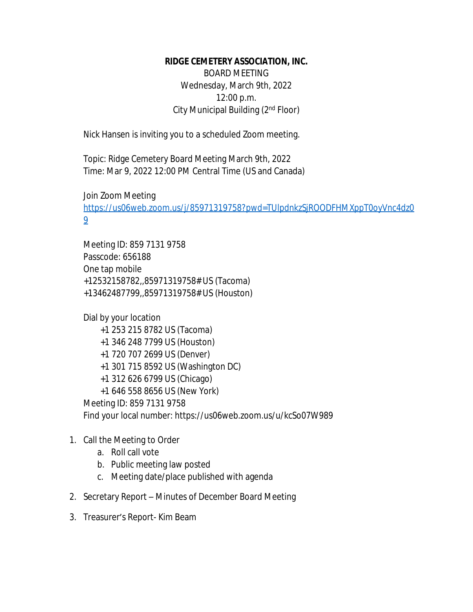## **RIDGE CEMETERY ASSOCIATION, INC.**

BOARD MEETING Wednesday, March 9th, 2022 12:00 p.m. City Municipal Building (2nd Floor)

Nick Hansen is inviting you to a scheduled Zoom meeting.

Topic: Ridge Cemetery Board Meeting March 9th, 2022 Time: Mar 9, 2022 12:00 PM Central Time (US and Canada)

Join Zoom Meeting

[https://us06web.zoom.us/j/85971319758?pwd=TUlpdnkzSjROODFHMXppT0oyVnc4dz0](https://us06web.zoom.us/j/85971319758?pwd=TUlpdnkzSjROODFHMXppT0oyVnc4dz09) 9

Meeting ID: 859 7131 9758 Passcode: 656188 One tap mobile +12532158782,,85971319758# US (Tacoma) +13462487799,,85971319758# US (Houston)

Dial by your location +1 253 215 8782 US (Tacoma) +1 346 248 7799 US (Houston) +1 720 707 2699 US (Denver) +1 301 715 8592 US (Washington DC) +1 312 626 6799 US (Chicago) +1 646 558 8656 US (New York) Meeting ID: 859 7131 9758 Find your local number: https://us06web.zoom.us/u/kcSo07W989

## 1. Call the Meeting to Order

- a. Roll call vote
- b. Public meeting law posted
- c. Meeting date/place published with agenda
- 2. Secretary Report Minutes of December Board Meeting
- 3. Treasurer's Report- Kim Beam